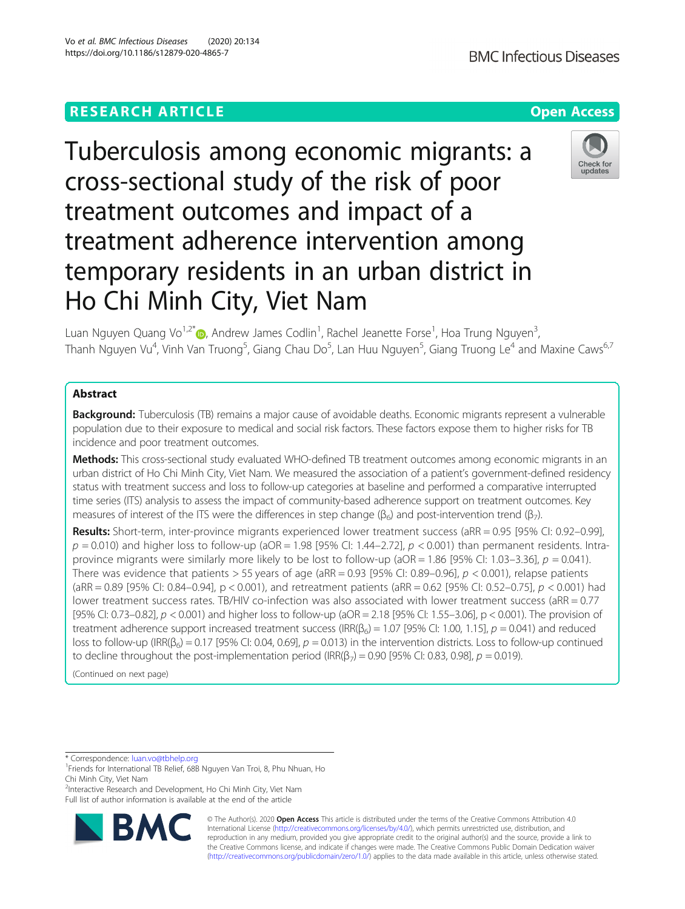# **RESEARCH ARTICLE Example 2014 12:30 The Contract of Contract ACCESS**

# Tuberculosis among economic migrants: a cross-sectional study of the risk of poor treatment outcomes and impact of a treatment adherence intervention among temporary residents in an urban district in Ho Chi Minh City, Viet Nam

Luan Nguyen Quang Vo<sup>1,2[\\*](http://orcid.org/0000-0002-5937-6286)</sup>®, Andrew James Codlin<sup>1</sup>, Rachel Jeanette Forse<sup>1</sup>, Hoa Trung Nguyen<sup>3</sup> , Thanh Nguyen Vu<sup>4</sup>, Vinh Van Truong<sup>5</sup>, Giang Chau Do<sup>5</sup>, Lan Huu Nguyen<sup>5</sup>, Giang Truong Le<sup>4</sup> and Maxine Caws<sup>6,7</sup>

# Abstract

**Background:** Tuberculosis (TB) remains a major cause of avoidable deaths. Economic migrants represent a vulnerable population due to their exposure to medical and social risk factors. These factors expose them to higher risks for TB incidence and poor treatment outcomes.

Methods: This cross-sectional study evaluated WHO-defined TB treatment outcomes among economic migrants in an urban district of Ho Chi Minh City, Viet Nam. We measured the association of a patient's government-defined residency status with treatment success and loss to follow-up categories at baseline and performed a comparative interrupted time series (ITS) analysis to assess the impact of community-based adherence support on treatment outcomes. Key measures of interest of the ITS were the differences in step change ( $\beta$ <sub>6</sub>) and post-intervention trend ( $\beta$ <sub>7</sub>).

Results: Short-term, inter-province migrants experienced lower treatment success (aRR = 0.95 [95% CI: 0.92-0.99],  $p = 0.010$ ) and higher loss to follow-up (aOR = 1.98 [95% CI: 1.44–2.72],  $p < 0.001$ ) than permanent residents. Intraprovince migrants were similarly more likely to be lost to follow-up ( $aOR = 1.86$  [95% CI: 1.03–3.36],  $p = 0.041$ ). There was evidence that patients > 55 years of age (aRR = 0.93 [95% CI: 0.89–0.96],  $p < 0.001$ ), relapse patients (aRR = 0.89 [95% CI: 0.84–0.94], p < 0.001), and retreatment patients (aRR = 0.62 [95% CI: 0.52–0.75],  $p < 0.001$ ) had lower treatment success rates. TB/HIV co-infection was also associated with lower treatment success (aRR = 0.77 [95% CI: 0.73–0.82], p < 0.001) and higher loss to follow-up (aOR = 2.18 [95% CI: 1.55–3.06], p < 0.001). The provision of treatment adherence support increased treatment success ( $IRR(\beta_6) = 1.07$  [95% CI: 1.00, 1.15],  $p = 0.041$ ) and reduced loss to follow-up (IRR(β<sub>6</sub>) = 0.17 [95% CI: 0.04, 0.69],  $p = 0.013$ ) in the intervention districts. Loss to follow-up continued to decline throughout the post-implementation period (IRR( $\beta_7$ ) = 0.90 [95% CI: 0.83, 0.98], p = 0.019).

(Continued on next page)

\* Correspondence: [luan.vo@tbhelp.org](mailto:luan.vo@tbhelp.org) <sup>1</sup>

**BM** 

<sup>2</sup>Interactive Research and Development, Ho Chi Minh City, Viet Nam Full list of author information is available at the end of the article









<sup>&</sup>lt;sup>1</sup>Friends for International TB Relief, 68B Nguyen Van Troi, 8, Phu Nhuan, Ho Chi Minh City, Viet Nam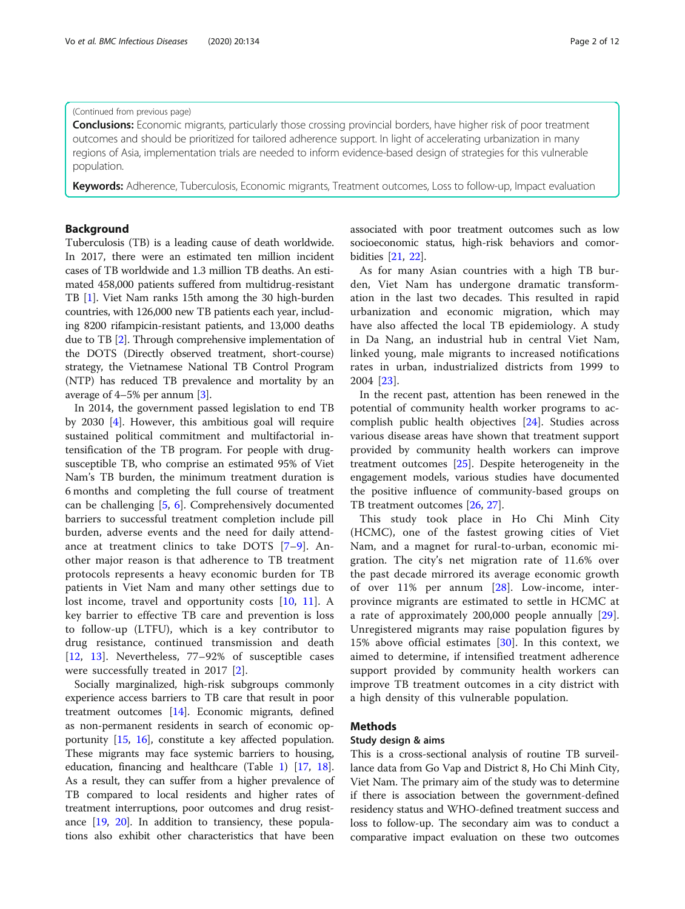#### (Continued from previous page)

**Conclusions:** Economic migrants, particularly those crossing provincial borders, have higher risk of poor treatment outcomes and should be prioritized for tailored adherence support. In light of accelerating urbanization in many regions of Asia, implementation trials are needed to inform evidence-based design of strategies for this vulnerable population.

Keywords: Adherence, Tuberculosis, Economic migrants, Treatment outcomes, Loss to follow-up, Impact evaluation

# Background

Tuberculosis (TB) is a leading cause of death worldwide. In 2017, there were an estimated ten million incident cases of TB worldwide and 1.3 million TB deaths. An estimated 458,000 patients suffered from multidrug-resistant TB [[1\]](#page-10-0). Viet Nam ranks 15th among the 30 high-burden countries, with 126,000 new TB patients each year, including 8200 rifampicin-resistant patients, and 13,000 deaths due to TB [[2\]](#page-10-0). Through comprehensive implementation of the DOTS (Directly observed treatment, short-course) strategy, the Vietnamese National TB Control Program (NTP) has reduced TB prevalence and mortality by an average of 4–5% per annum [\[3\]](#page-10-0).

In 2014, the government passed legislation to end TB by 2030 [\[4](#page-10-0)]. However, this ambitious goal will require sustained political commitment and multifactorial intensification of the TB program. For people with drugsusceptible TB, who comprise an estimated 95% of Viet Nam's TB burden, the minimum treatment duration is 6 months and completing the full course of treatment can be challenging [[5,](#page-10-0) [6\]](#page-10-0). Comprehensively documented barriers to successful treatment completion include pill burden, adverse events and the need for daily attendance at treatment clinics to take DOTS [[7](#page-10-0)–[9](#page-10-0)]. Another major reason is that adherence to TB treatment protocols represents a heavy economic burden for TB patients in Viet Nam and many other settings due to lost income, travel and opportunity costs [[10,](#page-10-0) [11](#page-10-0)]. A key barrier to effective TB care and prevention is loss to follow-up (LTFU), which is a key contributor to drug resistance, continued transmission and death [[12,](#page-10-0) [13\]](#page-10-0). Nevertheless, 77–92% of susceptible cases were successfully treated in 2017 [[2](#page-10-0)].

Socially marginalized, high-risk subgroups commonly experience access barriers to TB care that result in poor treatment outcomes [\[14\]](#page-10-0). Economic migrants, defined as non-permanent residents in search of economic opportunity [[15](#page-10-0), [16\]](#page-10-0), constitute a key affected population. These migrants may face systemic barriers to housing, education, financing and healthcare (Table [1](#page-2-0)) [[17](#page-10-0), [18](#page-10-0)]. As a result, they can suffer from a higher prevalence of TB compared to local residents and higher rates of treatment interruptions, poor outcomes and drug resistance [\[19,](#page-10-0) [20\]](#page-10-0). In addition to transiency, these populations also exhibit other characteristics that have been

associated with poor treatment outcomes such as low socioeconomic status, high-risk behaviors and comorbidities [\[21,](#page-10-0) [22\]](#page-10-0).

As for many Asian countries with a high TB burden, Viet Nam has undergone dramatic transformation in the last two decades. This resulted in rapid urbanization and economic migration, which may have also affected the local TB epidemiology. A study in Da Nang, an industrial hub in central Viet Nam, linked young, male migrants to increased notifications rates in urban, industrialized districts from 1999 to 2004 [[23\]](#page-10-0).

In the recent past, attention has been renewed in the potential of community health worker programs to accomplish public health objectives [[24](#page-10-0)]. Studies across various disease areas have shown that treatment support provided by community health workers can improve treatment outcomes [\[25\]](#page-10-0). Despite heterogeneity in the engagement models, various studies have documented the positive influence of community-based groups on TB treatment outcomes [[26](#page-10-0), [27](#page-10-0)].

This study took place in Ho Chi Minh City (HCMC), one of the fastest growing cities of Viet Nam, and a magnet for rural-to-urban, economic migration. The city's net migration rate of 11.6% over the past decade mirrored its average economic growth of over 11% per annum [[28\]](#page-11-0). Low-income, interprovince migrants are estimated to settle in HCMC at a rate of approximately 200,000 people annually [\[29](#page-11-0)]. Unregistered migrants may raise population figures by 15% above official estimates [[30\]](#page-11-0). In this context, we aimed to determine, if intensified treatment adherence support provided by community health workers can improve TB treatment outcomes in a city district with a high density of this vulnerable population.

# Methods

#### Study design & aims

This is a cross-sectional analysis of routine TB surveillance data from Go Vap and District 8, Ho Chi Minh City, Viet Nam. The primary aim of the study was to determine if there is association between the government-defined residency status and WHO-defined treatment success and loss to follow-up. The secondary aim was to conduct a comparative impact evaluation on these two outcomes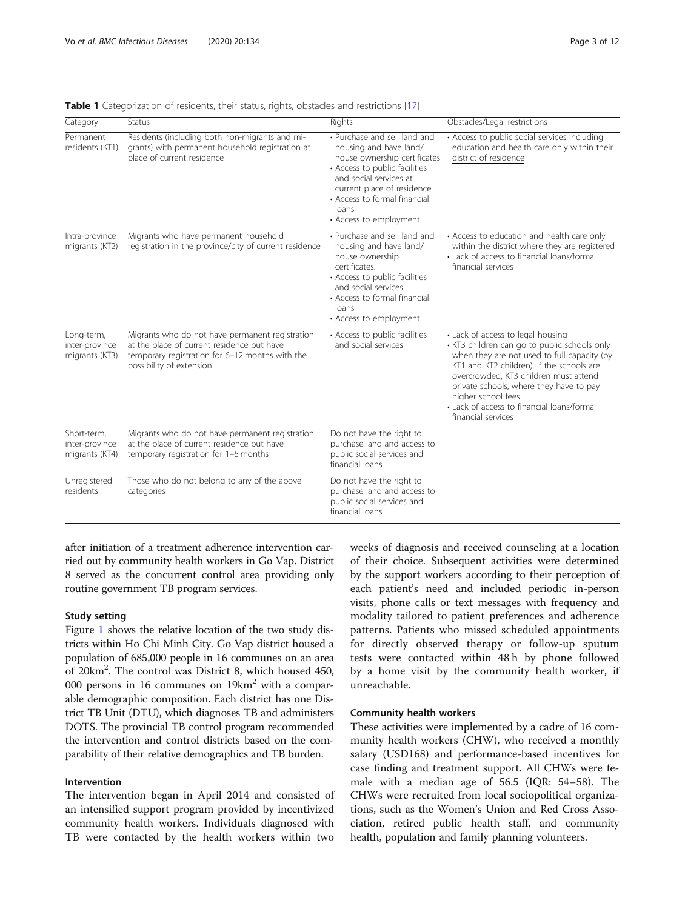| Category                                        | Status                                                                                                                                                                       | Rights                                                                                                                                                                                                                                             | Obstacles/Legal restrictions                                                                                                                                                                                                                                                                                                                                |
|-------------------------------------------------|------------------------------------------------------------------------------------------------------------------------------------------------------------------------------|----------------------------------------------------------------------------------------------------------------------------------------------------------------------------------------------------------------------------------------------------|-------------------------------------------------------------------------------------------------------------------------------------------------------------------------------------------------------------------------------------------------------------------------------------------------------------------------------------------------------------|
| Permanent<br>residents (KT1)                    | Residents (including both non-migrants and mi-<br>grants) with permanent household registration at<br>place of current residence                                             | • Purchase and sell land and<br>housing and have land/<br>house ownership certificates<br>• Access to public facilities<br>and social services at<br>current place of residence<br>• Access to formal financial<br>loans<br>• Access to employment | • Access to public social services including<br>education and health care only within their<br>district of residence                                                                                                                                                                                                                                        |
| Intra-province<br>migrants (KT2)                | Migrants who have permanent household<br>registration in the province/city of current residence                                                                              | • Purchase and sell land and<br>housing and have land/<br>house ownership<br>certificates.<br>• Access to public facilities<br>and social services<br>• Access to formal financial<br>loans<br>• Access to employment                              | • Access to education and health care only<br>within the district where they are registered<br>• Lack of access to financial loans/formal<br>financial services                                                                                                                                                                                             |
| Long-term,<br>inter-province<br>migrants (KT3)  | Migrants who do not have permanent registration<br>at the place of current residence but have<br>temporary registration for 6-12 months with the<br>possibility of extension | • Access to public facilities<br>and social services                                                                                                                                                                                               | • Lack of access to legal housing<br>• KT3 children can go to public schools only<br>when they are not used to full capacity (by<br>KT1 and KT2 children). If the schools are<br>overcrowded, KT3 children must attend<br>private schools, where they have to pay<br>higher school fees<br>• Lack of access to financial loans/formal<br>financial services |
| Short-term,<br>inter-province<br>migrants (KT4) | Migrants who do not have permanent registration<br>at the place of current residence but have<br>temporary registration for 1-6 months                                       | Do not have the right to<br>purchase land and access to<br>public social services and<br>financial loans                                                                                                                                           |                                                                                                                                                                                                                                                                                                                                                             |
| Unregistered<br>residents                       | Those who do not belong to any of the above<br>categories                                                                                                                    | Do not have the right to<br>purchase land and access to<br>public social services and<br>financial loans                                                                                                                                           |                                                                                                                                                                                                                                                                                                                                                             |

<span id="page-2-0"></span>Table 1 Categorization of residents, their status, rights, obstacles and restrictions [\[17\]](#page-10-0)

after initiation of a treatment adherence intervention carried out by community health workers in Go Vap. District 8 served as the concurrent control area providing only routine government TB program services.

## Study setting

Figure [1](#page-3-0) shows the relative location of the two study districts within Ho Chi Minh City. Go Vap district housed a population of 685,000 people in 16 communes on an area of 20km<sup>2</sup>. The control was District 8, which housed 450, 000 persons in 16 communes on 19km2 with a comparable demographic composition. Each district has one District TB Unit (DTU), which diagnoses TB and administers DOTS. The provincial TB control program recommended the intervention and control districts based on the comparability of their relative demographics and TB burden.

# Intervention

The intervention began in April 2014 and consisted of an intensified support program provided by incentivized community health workers. Individuals diagnosed with TB were contacted by the health workers within two weeks of diagnosis and received counseling at a location of their choice. Subsequent activities were determined by the support workers according to their perception of each patient's need and included periodic in-person visits, phone calls or text messages with frequency and modality tailored to patient preferences and adherence patterns. Patients who missed scheduled appointments for directly observed therapy or follow-up sputum tests were contacted within 48 h by phone followed by a home visit by the community health worker, if unreachable.

#### Community health workers

These activities were implemented by a cadre of 16 community health workers (CHW), who received a monthly salary (USD168) and performance-based incentives for case finding and treatment support. All CHWs were female with a median age of 56.5 (IQR: 54–58). The CHWs were recruited from local sociopolitical organizations, such as the Women's Union and Red Cross Association, retired public health staff, and community health, population and family planning volunteers.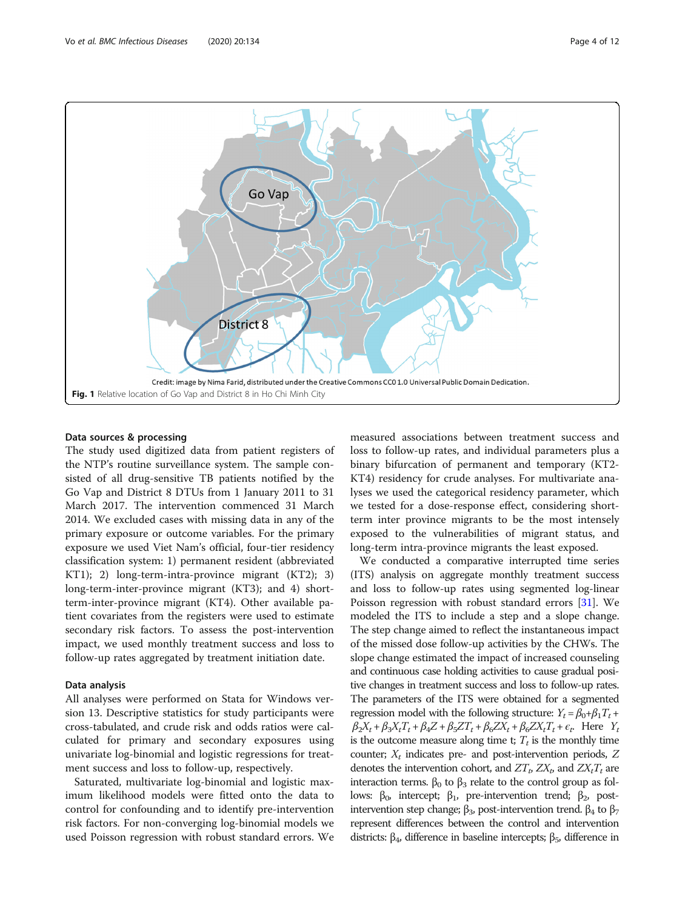<span id="page-3-0"></span>

## Data sources & processing

The study used digitized data from patient registers of the NTP's routine surveillance system. The sample consisted of all drug-sensitive TB patients notified by the Go Vap and District 8 DTUs from 1 January 2011 to 31 March 2017. The intervention commenced 31 March 2014. We excluded cases with missing data in any of the primary exposure or outcome variables. For the primary exposure we used Viet Nam's official, four-tier residency classification system: 1) permanent resident (abbreviated KT1); 2) long-term-intra-province migrant (KT2); 3) long-term-inter-province migrant (KT3); and 4) shortterm-inter-province migrant (KT4). Other available patient covariates from the registers were used to estimate secondary risk factors. To assess the post-intervention impact, we used monthly treatment success and loss to follow-up rates aggregated by treatment initiation date.

## Data analysis

All analyses were performed on Stata for Windows version 13. Descriptive statistics for study participants were cross-tabulated, and crude risk and odds ratios were calculated for primary and secondary exposures using univariate log-binomial and logistic regressions for treatment success and loss to follow-up, respectively.

Saturated, multivariate log-binomial and logistic maximum likelihood models were fitted onto the data to control for confounding and to identify pre-intervention risk factors. For non-converging log-binomial models we used Poisson regression with robust standard errors. We

measured associations between treatment success and loss to follow-up rates, and individual parameters plus a binary bifurcation of permanent and temporary (KT2- KT4) residency for crude analyses. For multivariate analyses we used the categorical residency parameter, which we tested for a dose-response effect, considering shortterm inter province migrants to be the most intensely exposed to the vulnerabilities of migrant status, and long-term intra-province migrants the least exposed.

We conducted a comparative interrupted time series (ITS) analysis on aggregate monthly treatment success and loss to follow-up rates using segmented log-linear Poisson regression with robust standard errors [\[31](#page-11-0)]. We modeled the ITS to include a step and a slope change. The step change aimed to reflect the instantaneous impact of the missed dose follow-up activities by the CHWs. The slope change estimated the impact of increased counseling and continuous case holding activities to cause gradual positive changes in treatment success and loss to follow-up rates. The parameters of the ITS were obtained for a segmented regression model with the following structure:  $Y_t = \beta_0 + \beta_1 T_t +$  $\beta_2X_t + \beta_3X_tT_t + \beta_4Z + \beta_5ZT_t + \beta_6ZX_t + \beta_6ZX_tT_t + \epsilon_t$ . Here  $Y_t$ is the outcome measure along time t;  $T_t$  is the monthly time counter;  $X_t$  indicates pre- and post-intervention periods, Z denotes the intervention cohort, and  $ZT_p$ ,  $ZX_p$  and  $ZX_tT_t$  are interaction terms.  $β_0$  to  $β_3$  relate to the control group as follows:  $\beta_0$ , intercept;  $\beta_1$ , pre-intervention trend;  $\beta_2$ , postintervention step change;  $β_3$ , post-intervention trend.  $β_4$  to  $β_7$ represent differences between the control and intervention districts:  $β_4$ , difference in baseline intercepts;  $β_5$ , difference in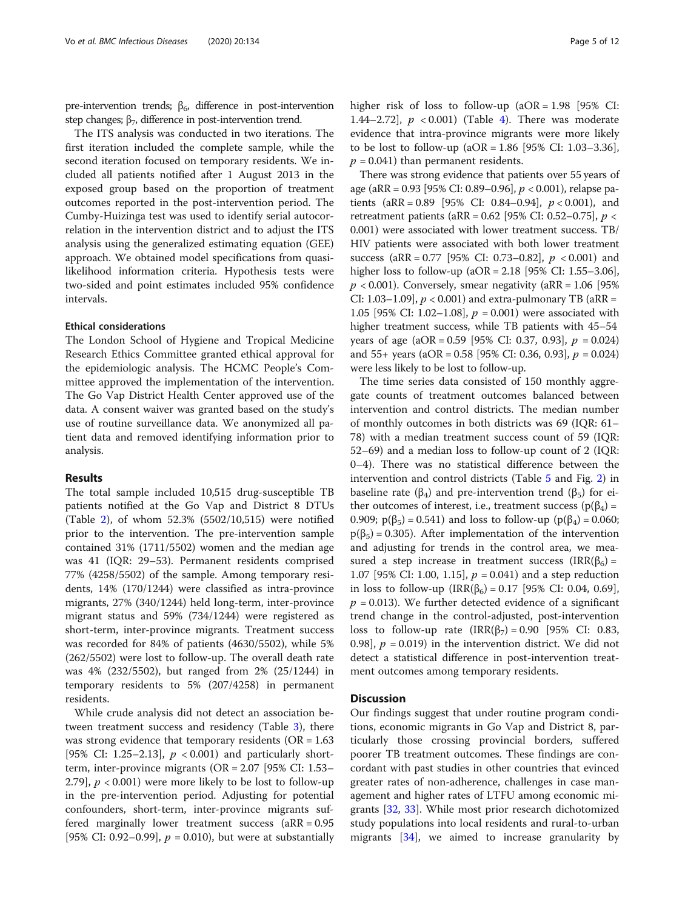pre-intervention trends;  $\beta_6$ , difference in post-intervention step changes;  $\beta_7$ , difference in post-intervention trend.

The ITS analysis was conducted in two iterations. The first iteration included the complete sample, while the second iteration focused on temporary residents. We included all patients notified after 1 August 2013 in the exposed group based on the proportion of treatment outcomes reported in the post-intervention period. The Cumby-Huizinga test was used to identify serial autocorrelation in the intervention district and to adjust the ITS analysis using the generalized estimating equation (GEE) approach. We obtained model specifications from quasilikelihood information criteria. Hypothesis tests were two-sided and point estimates included 95% confidence intervals.

#### Ethical considerations

The London School of Hygiene and Tropical Medicine Research Ethics Committee granted ethical approval for the epidemiologic analysis. The HCMC People's Committee approved the implementation of the intervention. The Go Vap District Health Center approved use of the data. A consent waiver was granted based on the study's use of routine surveillance data. We anonymized all patient data and removed identifying information prior to analysis.

#### Results

The total sample included 10,515 drug-susceptible TB patients notified at the Go Vap and District 8 DTUs (Table [2\)](#page-5-0), of whom 52.3% (5502/10,515) were notified prior to the intervention. The pre-intervention sample contained 31% (1711/5502) women and the median age was 41 (IQR: 29–53). Permanent residents comprised 77% (4258/5502) of the sample. Among temporary residents, 14% (170/1244) were classified as intra-province migrants, 27% (340/1244) held long-term, inter-province migrant status and 59% (734/1244) were registered as short-term, inter-province migrants. Treatment success was recorded for 84% of patients (4630/5502), while 5% (262/5502) were lost to follow-up. The overall death rate was 4% (232/5502), but ranged from 2% (25/1244) in temporary residents to 5% (207/4258) in permanent residents.

While crude analysis did not detect an association between treatment success and residency (Table [3](#page-6-0)), there was strong evidence that temporary residents ( $OR = 1.63$ ) [95% CI: 1.25–2.13],  $p < 0.001$  and particularly shortterm, inter-province migrants ( $OR = 2.07$  [95% CI: 1.53– 2.79],  $p < 0.001$ ) were more likely to be lost to follow-up in the pre-intervention period. Adjusting for potential confounders, short-term, inter-province migrants suffered marginally lower treatment success  $(RR = 0.95)$ [95% CI: 0.92–0.99],  $p = 0.010$ ), but were at substantially higher risk of loss to follow-up  $(aOR = 1.98)$  [95% CI: 1.[4](#page-7-0)4–2.72],  $p < 0.001$  (Table 4). There was moderate evidence that intra-province migrants were more likely to be lost to follow-up  $(aOR = 1.86 \, [95\% \, CI: 1.03-3.36],$  $p = 0.041$ ) than permanent residents.

There was strong evidence that patients over 55 years of age (aRR = 0.93 [95% CI: 0.89–0.96], p < 0.001), relapse patients  $(aRR = 0.89$  [95% CI: 0.84–0.94],  $p < 0.001$ ), and retreatment patients (aRR =  $0.62$  [95% CI: 0.52–0.75],  $p <$ 0.001) were associated with lower treatment success. TB/ HIV patients were associated with both lower treatment success (aRR = 0.77 [95% CI: 0.73–0.82],  $p < 0.001$ ) and higher loss to follow-up (aOR = 2.18 [95% CI: 1.55–3.06],  $p < 0.001$ ). Conversely, smear negativity (aRR = 1.06 [95%] CI: 1.03–1.09],  $p < 0.001$ ) and extra-pulmonary TB (aRR = 1.05 [95% CI: 1.02-1.08],  $p = 0.001$ ) were associated with higher treatment success, while TB patients with 45–54 years of age  $(aOR = 0.59$  [95% CI: 0.37, 0.93],  $p = 0.024$ ] and  $55+$  years (aOR = 0.58 [95% CI: 0.36, 0.93],  $p = 0.024$ ) were less likely to be lost to follow-up.

The time series data consisted of 150 monthly aggregate counts of treatment outcomes balanced between intervention and control districts. The median number of monthly outcomes in both districts was 69 (IQR: 61– 78) with a median treatment success count of 59 (IQR: 52–69) and a median loss to follow-up count of 2 (IQR: 0–4). There was no statistical difference between the intervention and control districts (Table [5](#page-8-0) and Fig. [2](#page-9-0)) in baseline rate ( $\beta_4$ ) and pre-intervention trend ( $\beta_5$ ) for either outcomes of interest, i.e., treatment success ( $p(\beta_4)$  = 0.909;  $p(\beta_5) = 0.541$ ) and loss to follow-up ( $p(\beta_4) = 0.060$ ;  $p(\beta_5) = 0.305$ . After implementation of the intervention and adjusting for trends in the control area, we measured a step increase in treatment success (IRR( $\beta$ <sub>6</sub>) = 1.07 [95% CI: 1.00, 1.15],  $p = 0.041$  and a step reduction in loss to follow-up  $\text{(IRR}(\beta_6) = 0.17 [95\% \text{ CI: } 0.04, 0.69],$  $p = 0.013$ ). We further detected evidence of a significant trend change in the control-adjusted, post-intervention loss to follow-up rate  $\text{IRR}(\beta_7) = 0.90$  [95% CI: 0.83, 0.98],  $p = 0.019$ ) in the intervention district. We did not detect a statistical difference in post-intervention treatment outcomes among temporary residents.

#### **Discussion**

Our findings suggest that under routine program conditions, economic migrants in Go Vap and District 8, particularly those crossing provincial borders, suffered poorer TB treatment outcomes. These findings are concordant with past studies in other countries that evinced greater rates of non-adherence, challenges in case management and higher rates of LTFU among economic migrants [\[32](#page-11-0), [33\]](#page-11-0). While most prior research dichotomized study populations into local residents and rural-to-urban migrants [[34\]](#page-11-0), we aimed to increase granularity by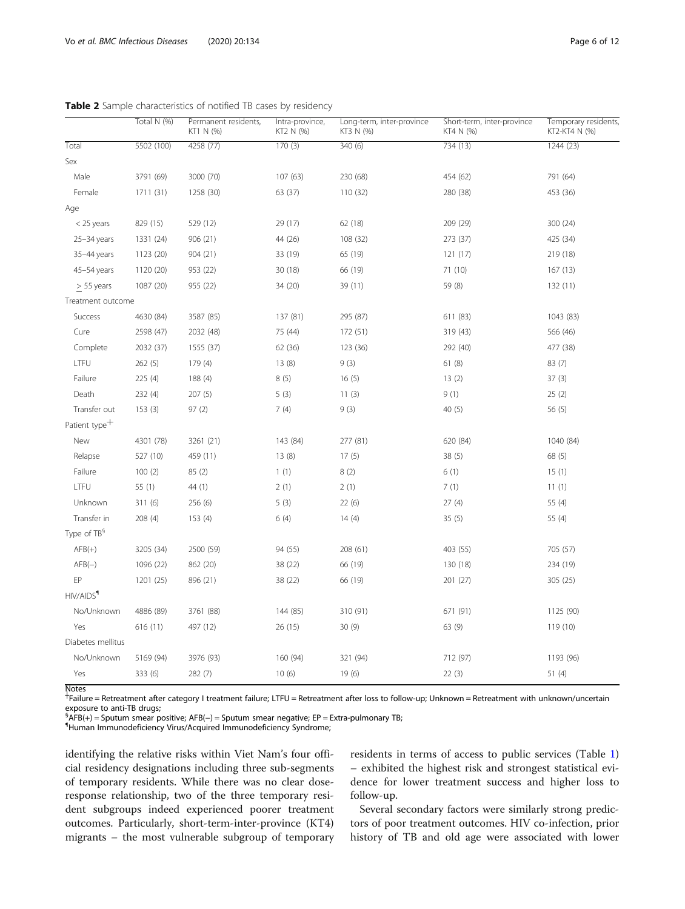|                           | Total N (%) | Permanent residents,<br>KT1 N (%) | Intra-province,<br>KT2 N (%) | Long-term, inter-province<br>KT3 N (%) | Short-term, inter-province<br>KT4 N (%) | Temporary residents,<br>KT2-KT4 N (%) |
|---------------------------|-------------|-----------------------------------|------------------------------|----------------------------------------|-----------------------------------------|---------------------------------------|
| Total                     | 5502 (100)  | 4258 (77)                         | 170(3)                       | 340(6)                                 | 734 (13)                                | 1244 (23)                             |
| Sex                       |             |                                   |                              |                                        |                                         |                                       |
| Male                      | 3791 (69)   | 3000 (70)                         | 107(63)                      | 230 (68)                               | 454 (62)                                | 791 (64)                              |
| Female                    | 1711 (31)   | 1258 (30)                         | 63 (37)                      | 110 (32)                               | 280 (38)                                | 453 (36)                              |
| Age                       |             |                                   |                              |                                        |                                         |                                       |
| $<$ 25 years              | 829 (15)    | 529 (12)                          | 29 (17)                      | 62 (18)                                | 209 (29)                                | 300 (24)                              |
| $25 - 34$ years           | 1331 (24)   | 906 (21)                          | 44 (26)                      | 108 (32)                               | 273 (37)                                | 425 (34)                              |
| 35-44 years               | 1123 (20)   | 904 (21)                          | 33 (19)                      | 65 (19)                                | 121 (17)                                | 219 (18)                              |
| 45-54 years               | 1120 (20)   | 953 (22)                          | 30 (18)                      | 66 (19)                                | 71 (10)                                 | 167(13)                               |
| $> 55$ years              | 1087 (20)   | 955 (22)                          | 34 (20)                      | 39 (11)                                | 59 (8)                                  | 132(11)                               |
| Treatment outcome         |             |                                   |                              |                                        |                                         |                                       |
| Success                   | 4630 (84)   | 3587 (85)                         | 137 (81)                     | 295 (87)                               | 611 (83)                                | 1043 (83)                             |
| Cure                      | 2598 (47)   | 2032 (48)                         | 75 (44)                      | 172 (51)                               | 319 (43)                                | 566 (46)                              |
| Complete                  | 2032 (37)   | 1555 (37)                         | 62 (36)                      | 123 (36)                               | 292 (40)                                | 477 (38)                              |
| LTFU                      | 262(5)      | 179 (4)                           | 13(8)                        | 9(3)                                   | 61(8)                                   | 83 (7)                                |
| Failure                   | 225(4)      | 188 (4)                           | 8(5)                         | 16(5)                                  | 13(2)                                   | 37(3)                                 |
| Death                     | 232(4)      | 207(5)                            | 5(3)                         | 11(3)                                  | 9(1)                                    | 25(2)                                 |
| Transfer out              | 153(3)      | 97(2)                             | 7(4)                         | 9(3)                                   | 40(5)                                   | 56(5)                                 |
| Patient type <sup>+</sup> |             |                                   |                              |                                        |                                         |                                       |
| New                       | 4301 (78)   | 3261 (21)                         | 143 (84)                     | 277 (81)                               | 620 (84)                                | 1040 (84)                             |
| Relapse                   | 527 (10)    | 459 (11)                          | 13(8)                        | 17(5)                                  | 38(5)                                   | 68 (5)                                |
| Failure                   | 100(2)      | 85 (2)                            | 1(1)                         | 8(2)                                   | 6(1)                                    | 15(1)                                 |
| LTFU                      | 55(1)       | 44 (1)                            | 2(1)                         | 2(1)                                   | 7(1)                                    | 11(1)                                 |
| Unknown                   | 311(6)      | 256 (6)                           | 5(3)                         | 22(6)                                  | 27(4)                                   | 55 (4)                                |
| Transfer in               | 208(4)      | 153(4)                            | 6(4)                         | 14(4)                                  | 35(5)                                   | 55 (4)                                |
| Type of TB <sup>§</sup>   |             |                                   |                              |                                        |                                         |                                       |
| $AFB(+)$                  | 3205 (34)   | 2500 (59)                         | 94 (55)                      | 208 (61)                               | 403 (55)                                | 705 (57)                              |
| $AFB(-)$                  | 1096 (22)   | 862 (20)                          | 38 (22)                      | 66 (19)                                | 130 (18)                                | 234 (19)                              |
| EP                        | 1201 (25)   | 896 (21)                          | 38 (22)                      | 66 (19)                                | 201 (27)                                | 305 (25)                              |
| HIV/AIDS <sup>1</sup>     |             |                                   |                              |                                        |                                         |                                       |
| No/Unknown                | 4886 (89)   | 3761 (88)                         | 144 (85)                     | 310 (91)                               | 671 (91)                                | 1125 (90)                             |
| Yes                       | 616(11)     | 497 (12)                          | 26(15)                       | 30(9)                                  | 63 (9)                                  | 119 (10)                              |
| Diabetes mellitus         |             |                                   |                              |                                        |                                         |                                       |
| No/Unknown                | 5169 (94)   | 3976 (93)                         | 160 (94)                     | 321 (94)                               | 712 (97)                                | 1193 (96)                             |
| Yes                       | 333 (6)     | 282 (7)                           | 10(6)                        | 19(6)                                  | 22(3)                                   | 51(4)                                 |
| <b>Notes</b>              |             |                                   |                              |                                        |                                         |                                       |

<span id="page-5-0"></span>Table 2 Sample characteristics of notified TB cases by residency

┼ Failure = Retreatment after category I treatment failure; LTFU = Retreatment after loss to follow-up; Unknown = Retreatment with unknown/uncertain exposure to anti-TB drugs;

§AFB(+) = Sputum smear positive; AFB(−) = Sputum smear negative; EP = Extra-pulmonary TB;<br>¶Human Immunodoficionay Virus (Acquired Immunodoficionay Svodromo;

Human Immunodeficiency Virus/Acquired Immunodeficiency Syndrome;

identifying the relative risks within Viet Nam's four official residency designations including three sub-segments of temporary residents. While there was no clear doseresponse relationship, two of the three temporary resident subgroups indeed experienced poorer treatment outcomes. Particularly, short-term-inter-province (KT4) migrants – the most vulnerable subgroup of temporary residents in terms of access to public services (Table [1](#page-2-0)) – exhibited the highest risk and strongest statistical evidence for lower treatment success and higher loss to follow-up.

Several secondary factors were similarly strong predictors of poor treatment outcomes. HIV co-infection, prior history of TB and old age were associated with lower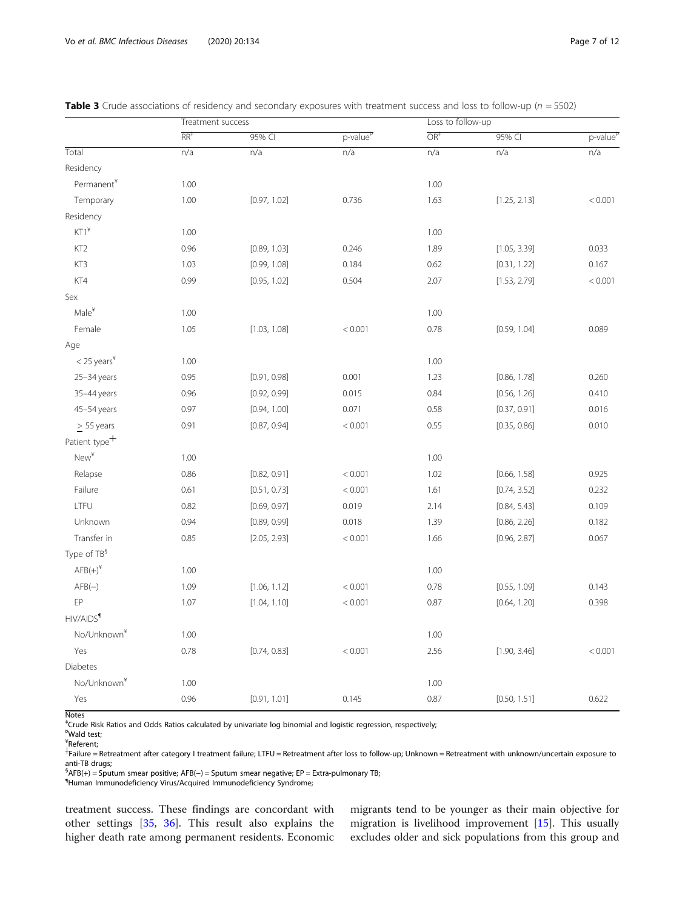|                           | Treatment success |              |                      | Loss to follow-up |              |                      |  |
|---------------------------|-------------------|--------------|----------------------|-------------------|--------------|----------------------|--|
|                           | RR <sup>‡</sup>   | 95% CI       | p-value <sup>p</sup> | $OR+$             | 95% CI       | p-value <sup>p</sup> |  |
| Total                     | n/a               | n/a          | n/a                  | n/a               | n/a          | n/a                  |  |
| Residency                 |                   |              |                      |                   |              |                      |  |
| Permanent*                | 1.00              |              |                      | 1.00              |              |                      |  |
| Temporary                 | 1.00              | [0.97, 1.02] | 0.736                | 1.63              | [1.25, 2.13] | < 0.001              |  |
| Residency                 |                   |              |                      |                   |              |                      |  |
| $KT1^*$                   | 1.00              |              |                      | 1.00              |              |                      |  |
| KT <sub>2</sub>           | 0.96              | [0.89, 1.03] | 0.246                | 1.89              | [1.05, 3.39] | 0.033                |  |
| KT3                       | 1.03              | [0.99, 1.08] | 0.184                | 0.62              | [0.31, 1.22] | 0.167                |  |
| KT4                       | 0.99              | [0.95, 1.02] | 0.504                | 2.07              | [1.53, 2.79] | < 0.001              |  |
| Sex                       |                   |              |                      |                   |              |                      |  |
| Male <sup>¥</sup>         | 1.00              |              |                      | 1.00              |              |                      |  |
| Female                    | 1.05              | [1.03, 1.08] | < 0.001              | 0.78              | [0.59, 1.04] | 0.089                |  |
| Age                       |                   |              |                      |                   |              |                      |  |
| $<$ 25 years <sup>*</sup> | 1.00              |              |                      | 1.00              |              |                      |  |
| 25-34 years               | 0.95              | [0.91, 0.98] | 0.001                | 1.23              | [0.86, 1.78] | 0.260                |  |
| 35-44 years               | 0.96              | [0.92, 0.99] | 0.015                | 0.84              | [0.56, 1.26] | 0.410                |  |
| 45-54 years               | 0.97              | [0.94, 1.00] | 0.071                | 0.58              | [0.37, 0.91] | 0.016                |  |
| $\geq$ 55 years           | 0.91              | [0.87, 0.94] | < 0.001              | 0.55              | [0.35, 0.86] | 0.010                |  |
| Patient type <sup>+</sup> |                   |              |                      |                   |              |                      |  |
| New <sup>¥</sup>          | 1.00              |              |                      | 1.00              |              |                      |  |
| Relapse                   | 0.86              | [0.82, 0.91] | < 0.001              | 1.02              | [0.66, 1.58] | 0.925                |  |
| Failure                   | 0.61              | [0.51, 0.73] | < 0.001              | 1.61              | [0.74, 3.52] | 0.232                |  |
| LTFU                      | 0.82              | [0.69, 0.97] | 0.019                | 2.14              | [0.84, 5.43] | 0.109                |  |
| Unknown                   | 0.94              | [0.89, 0.99] | 0.018                | 1.39              | [0.86, 2.26] | 0.182                |  |
| Transfer in               | 0.85              | [2.05, 2.93] | < 0.001              | 1.66              | [0.96, 2.87] | 0.067                |  |
| Type of TB <sup>§</sup>   |                   |              |                      |                   |              |                      |  |
| $AFB(+)^{*}$              | 1.00              |              |                      | 1.00              |              |                      |  |
| $AFB(-)$                  | 1.09              | [1.06, 1.12] | < 0.001              | 0.78              | [0.55, 1.09] | 0.143                |  |
| EP                        | 1.07              | [1.04, 1.10] | < 0.001              | 0.87              | [0.64, 1.20] | 0.398                |  |
| HIV/AIDS <sup>1</sup>     |                   |              |                      |                   |              |                      |  |
| No/Unknown <sup>¥</sup>   | 1.00              |              |                      | 1.00              |              |                      |  |
| Yes                       | 0.78              | [0.74, 0.83] | < 0.001              | 2.56              | [1.90, 3.46] | < 0.001              |  |
| Diabetes                  |                   |              |                      |                   |              |                      |  |
| No/Unknown <sup>¥</sup>   | 1.00              |              |                      | 1.00              |              |                      |  |
| Yes                       | 0.96              | [0.91, 1.01] | 0.145                | 0.87              | [0.50, 1.51] | 0.622                |  |
| <b>Notac</b>              |                   |              |                      |                   |              |                      |  |

<span id="page-6-0"></span>

| <b>Table 3</b> Crude associations of residency and secondary exposures with treatment success and loss to follow-up ( $n = 5502$ ) |  |
|------------------------------------------------------------------------------------------------------------------------------------|--|
|------------------------------------------------------------------------------------------------------------------------------------|--|

Notes ‡ Crude Risk Ratios and Odds Ratios calculated by univariate log binomial and logistic regression, respectively;

Þ Wald test;

¥ Referent;

†Failure = Retreatment after category I treatment failure; LTFU = Retreatment after loss to follow-up; Unknown = Retreatment with unknown/uncertain exposure to anti-TB drugs;

§AFB(+) = Sputum smear positive; AFB(-) = Sputum smear negative; EP = Extra-pulmonary TB;<br>"Human Immunodoficiona: Virus (Acquired Immunodoficiona: Syndrome;

Human Immunodeficiency Virus/Acquired Immunodeficiency Syndrome;

treatment success. These findings are concordant with other settings [\[35](#page-11-0), [36](#page-11-0)]. This result also explains the higher death rate among permanent residents. Economic migrants tend to be younger as their main objective for migration is livelihood improvement [\[15](#page-10-0)]. This usually excludes older and sick populations from this group and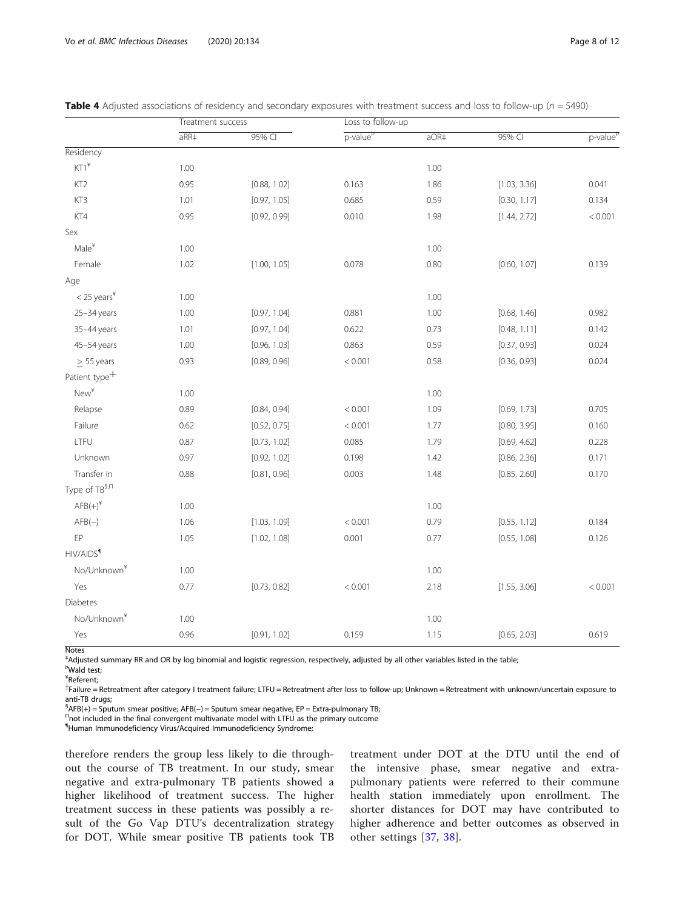|                            | Treatment success |              | Loss to follow-up    |      |              |                      |
|----------------------------|-------------------|--------------|----------------------|------|--------------|----------------------|
|                            | $aRR+$            | 95% CI       | p-value <sup>P</sup> | aOR‡ | 95% CI       | p-value <sup>p</sup> |
| Residency                  |                   |              |                      |      |              |                      |
| $KT1^*$                    | 1.00              |              |                      | 1.00 |              |                      |
| KT <sub>2</sub>            | 0.95              | [0.88, 1.02] | 0.163                | 1.86 | [1.03, 3.36] | 0.041                |
| KT3                        | 1.01              | [0.97, 1.05] | 0.685                | 0.59 | [0.30, 1.17] | 0.134                |
| KT4                        | 0.95              | [0.92, 0.99] | 0.010                | 1.98 | [1.44, 2.72] | < 0.001              |
| Sex                        |                   |              |                      |      |              |                      |
| $Male^*$                   | 1.00              |              |                      | 1.00 |              |                      |
| Female                     | 1.02              | [1.00, 1.05] | 0.078                | 0.80 | [0.60, 1.07] | 0.139                |
| Age                        |                   |              |                      |      |              |                      |
| $<$ 25 years $4$           | 1.00              |              |                      | 1.00 |              |                      |
| 25-34 years                | 1.00              | [0.97, 1.04] | 0.881                | 1.00 | [0.68, 1.46] | 0.982                |
| 35-44 years                | 1.01              | [0.97, 1.04] | 0.622                | 0.73 | [0.48, 1.11] | 0.142                |
| 45-54 years                | 1.00              | [0.96, 1.03] | 0.863                | 0.59 | [0.37, 0.93] | 0.024                |
| $\geq$ 55 years            | 0.93              | [0.89, 0.96] | < 0.001              | 0.58 | [0.36, 0.93] | 0.024                |
| Patient type <sup>+</sup>  |                   |              |                      |      |              |                      |
| $New^*$                    | 1.00              |              |                      | 1.00 |              |                      |
| Relapse                    | 0.89              | [0.84, 0.94] | < 0.001              | 1.09 | [0.69, 1.73] | 0.705                |
| Failure                    | 0.62              | [0.52, 0.75] | < 0.001              | 1.77 | [0.80, 3.95] | 0.160                |
| LTFU                       | 0.87              | [0.73, 1.02] | 0.085                | 1.79 | [0.69, 4.62] | 0.228                |
| Unknown                    | 0.97              | [0.92, 1.02] | 0.198                | 1.42 | [0.86, 2.36] | 0.171                |
| Transfer in                | 0.88              | [0.81, 0.96] | 0.003                | 1.48 | [0.85, 2.60] | 0.170                |
| Type of TB <sup>§, n</sup> |                   |              |                      |      |              |                      |
| $AFB(+)^{*}$               | 1.00              |              |                      | 1.00 |              |                      |
| $AFB(-)$                   | 1.06              | [1.03, 1.09] | < 0.001              | 0.79 | [0.55, 1.12] | 0.184                |
| EP                         | 1.05              | [1.02, 1.08] | 0.001                | 0.77 | [0.55, 1.08] | 0.126                |
| HIV/AIDS <sup>q</sup>      |                   |              |                      |      |              |                      |
| No/Unknown <sup>¥</sup>    | 1.00              |              |                      | 1.00 |              |                      |
| Yes                        | 0.77              | [0.73, 0.82] | < 0.001              | 2.18 | [1.55, 3.06] | < 0.001              |
| Diabetes                   |                   |              |                      |      |              |                      |
| No/Unknown <sup>¥</sup>    | 1.00              |              |                      | 1.00 |              |                      |
| Yes                        | 0.96              | [0.91, 1.02] | 0.159                | 1.15 | [0.65, 2.03] | 0.619                |
| <b>Notes</b>               |                   |              |                      |      |              |                      |

<span id="page-7-0"></span>

| <b>Table 4</b> Adjusted associations of residency and secondary exposures with treatment success and loss to follow-up ( $n = 5490$ ) |  |  |  |
|---------------------------------------------------------------------------------------------------------------------------------------|--|--|--|
|---------------------------------------------------------------------------------------------------------------------------------------|--|--|--|

‡ Adjusted summary RR and OR by log binomial and logistic regression, respectively, adjusted by all other variables listed in the table;

Þ Wald test;

¥ Referent; ┼ Failure = Retreatment after category I treatment failure; LTFU = Retreatment after loss to follow-up; Unknown = Retreatment with unknown/uncertain exposure to

anti-TB drugs;

§<br>
<sup>§</sup>AFB(+) = Sputum smear positive; AFB(-) = Sputum smear negative; EP = Extra-pulmonary TB;<br><sup>Π</sup>pot included in the final convergent multivariate model with LTEU as the primary outcome  $n_{\text{not}$  included in the final convergent multivariate model with LTFU as the primary outcome

¶ Human Immunodeficiency Virus/Acquired Immunodeficiency Syndrome;

therefore renders the group less likely to die throughout the course of TB treatment. In our study, smear negative and extra-pulmonary TB patients showed a higher likelihood of treatment success. The higher treatment success in these patients was possibly a result of the Go Vap DTU's decentralization strategy for DOT. While smear positive TB patients took TB treatment under DOT at the DTU until the end of the intensive phase, smear negative and extrapulmonary patients were referred to their commune health station immediately upon enrollment. The shorter distances for DOT may have contributed to higher adherence and better outcomes as observed in other settings [[37,](#page-11-0) [38\]](#page-11-0).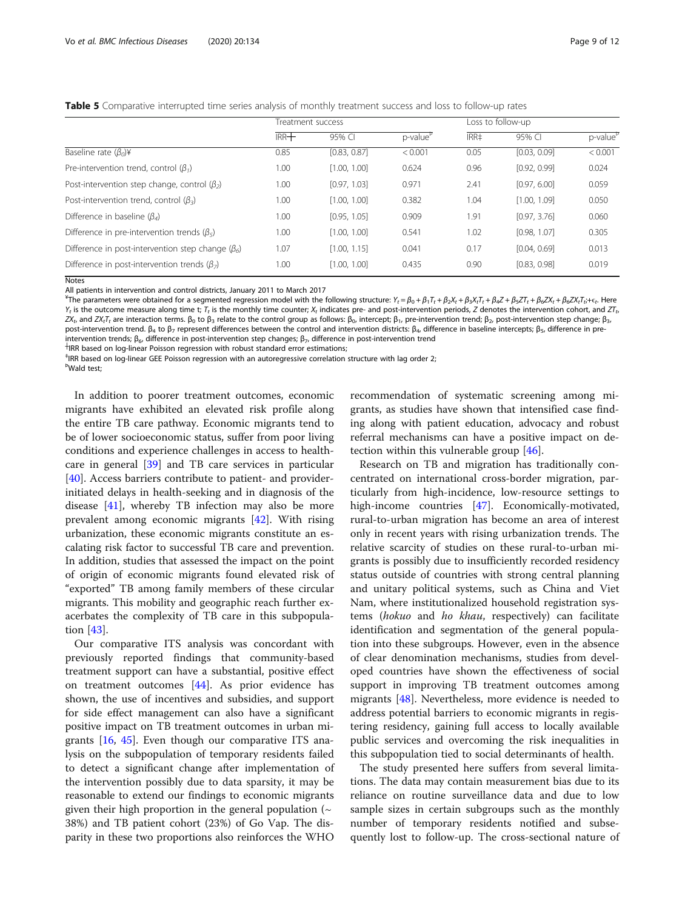<span id="page-8-0"></span>Table 5 Comparative interrupted time series analysis of monthly treatment success and loss to follow-up rates

|                                                                 | Treatment success |              |                      | Loss to follow-up |              |                      |
|-----------------------------------------------------------------|-------------------|--------------|----------------------|-------------------|--------------|----------------------|
|                                                                 | $IRR +$           | 95% CI       | p-value <sup>p</sup> | IRR#              | 95% CI       | p-value <sup>P</sup> |
| Baseline rate $(\beta_0)$ ¥                                     | 0.85              | [0.83, 0.87] | < 0.001              | 0.05              | [0.03, 0.09] | < 0.001              |
| Pre-intervention trend, control $(\beta_1)$                     | 1.00              | [1.00, 1.00] | 0.624                | 0.96              | [0.92, 0.99] | 0.024                |
| Post-intervention step change, control $(\beta_2)$              | 1.00              | [0.97, 1.03] | 0.971                | 2.41              | [0.97, 6.00] | 0.059                |
| Post-intervention trend, control $(\beta_2)$                    | 1.00              | [1.00, 1.00] | 0.382                | 1.04              | [1.00, 1.09] | 0.050                |
| Difference in baseline ( $\beta_{\rm A}$ )                      | 1.00              | [0.95, 1.05] | 0.909                | 1.91              | [0.97, 3.76] | 0.060                |
| Difference in pre-intervention trends ( $\beta_5$ )             | 1.00              | [1.00, 1.00] | 0.541                | 1.02              | [0.98, 1.07] | 0.305                |
| Difference in post-intervention step change $(\beta_6)$         | 1.07              | [1.00, 1.15] | 0.041                | 0.17              | [0.04, 0.69] | 0.013                |
| Difference in post-intervention trends ( $\beta$ <sub>7</sub> ) | 1.00              | [1.00, 1.00] | 0.435                | 0.90              | [0.83, 0.98] | 0.019                |

**Notes** 

All patients in intervention and control districts, January 2011 to March 2017

<sup>¥</sup>The parameters were obtained for a segmented regression model with the following structure: Y<sub>t</sub> = β<sub>0</sub> + β<sub>1</sub>T<sub>t</sub> + β<sub>2</sub>X<sub>t</sub> + β<sub>3</sub>X<sub>t</sub>T<sub>t</sub> + β<sub>6</sub>ZX<sub>t</sub> + β<sub>6</sub>ZX<sub>t</sub> + β<sub>6</sub>ZX<sub>t</sub>T<sub>t</sub> + ξ<sub>t</sub>. Here  $Y_t$  is the outcome measure along time t;  $T_t$  is the monthly time counter;  $X_t$  indicates pre- and post-intervention periods. Z denotes the intervention cohort, and  $ZT_t$ .  $ZX_t$ , and  $ZX_t$ , are interaction terms.  $β_0$  to  $β_3$  relate to the control group as follows:  $β_0$ , intercept;  $β_1$ , pre-intervention trend;  $β_2$ , post-intervention step change;  $β_3$ post-intervention trend. β<sub>4</sub> to β<sub>7</sub> represent differences between the control and intervention districts: β<sub>4</sub>, difference in baseline intercepts; β<sub>5</sub>, difference in pre-

intervention trends;  $\beta_6$ , difference in post-intervention step changes;  $\beta_7$ , difference in post-intervention trend

 $\dagger$ IRR based on log-linear Poisson regression with robust standard error estimations;

‡ IRR based on log-linear GEE Poisson regression with an autoregressive correlation structure with lag order 2; Þ Wald test;

In addition to poorer treatment outcomes, economic migrants have exhibited an elevated risk profile along the entire TB care pathway. Economic migrants tend to be of lower socioeconomic status, suffer from poor living conditions and experience challenges in access to healthcare in general [[39](#page-11-0)] and TB care services in particular [[40\]](#page-11-0). Access barriers contribute to patient- and providerinitiated delays in health-seeking and in diagnosis of the disease [\[41](#page-11-0)], whereby TB infection may also be more prevalent among economic migrants [\[42](#page-11-0)]. With rising urbanization, these economic migrants constitute an escalating risk factor to successful TB care and prevention. In addition, studies that assessed the impact on the point of origin of economic migrants found elevated risk of "exported" TB among family members of these circular migrants. This mobility and geographic reach further exacerbates the complexity of TB care in this subpopulation [\[43\]](#page-11-0).

Our comparative ITS analysis was concordant with previously reported findings that community-based treatment support can have a substantial, positive effect on treatment outcomes [\[44](#page-11-0)]. As prior evidence has shown, the use of incentives and subsidies, and support for side effect management can also have a significant positive impact on TB treatment outcomes in urban migrants [\[16,](#page-10-0) [45](#page-11-0)]. Even though our comparative ITS analysis on the subpopulation of temporary residents failed to detect a significant change after implementation of the intervention possibly due to data sparsity, it may be reasonable to extend our findings to economic migrants given their high proportion in the general population  $(\sim$ 38%) and TB patient cohort (23%) of Go Vap. The disparity in these two proportions also reinforces the WHO

recommendation of systematic screening among migrants, as studies have shown that intensified case finding along with patient education, advocacy and robust referral mechanisms can have a positive impact on detection within this vulnerable group [[46\]](#page-11-0).

Research on TB and migration has traditionally concentrated on international cross-border migration, particularly from high-incidence, low-resource settings to high-income countries [\[47\]](#page-11-0). Economically-motivated, rural-to-urban migration has become an area of interest only in recent years with rising urbanization trends. The relative scarcity of studies on these rural-to-urban migrants is possibly due to insufficiently recorded residency status outside of countries with strong central planning and unitary political systems, such as China and Viet Nam, where institutionalized household registration systems (hokuo and ho khau, respectively) can facilitate identification and segmentation of the general population into these subgroups. However, even in the absence of clear denomination mechanisms, studies from developed countries have shown the effectiveness of social support in improving TB treatment outcomes among migrants [\[48](#page-11-0)]. Nevertheless, more evidence is needed to address potential barriers to economic migrants in registering residency, gaining full access to locally available public services and overcoming the risk inequalities in this subpopulation tied to social determinants of health.

The study presented here suffers from several limitations. The data may contain measurement bias due to its reliance on routine surveillance data and due to low sample sizes in certain subgroups such as the monthly number of temporary residents notified and subsequently lost to follow-up. The cross-sectional nature of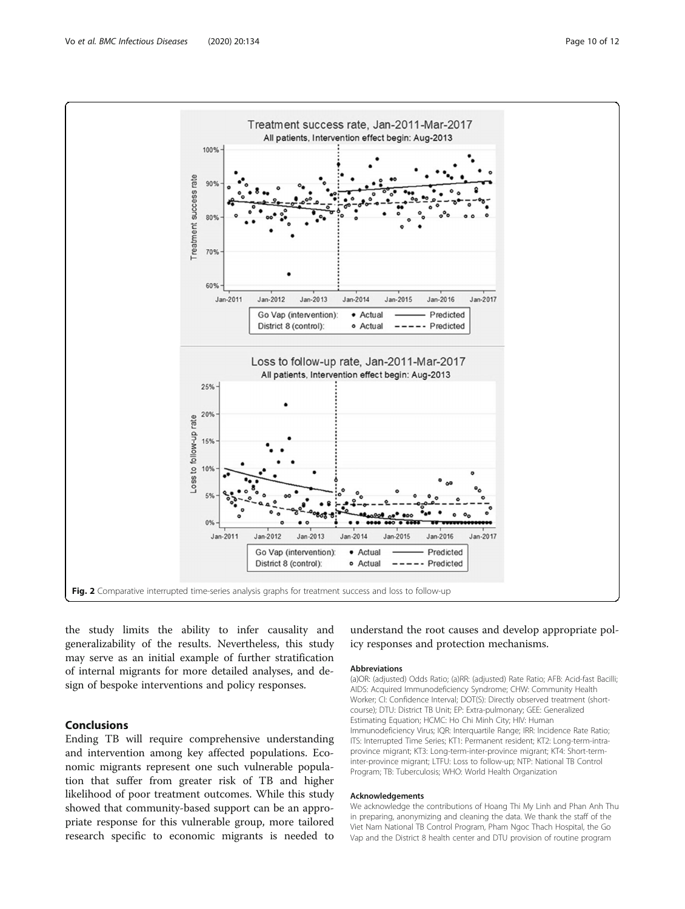<span id="page-9-0"></span>

the study limits the ability to infer causality and generalizability of the results. Nevertheless, this study may serve as an initial example of further stratification of internal migrants for more detailed analyses, and design of bespoke interventions and policy responses.

# Conclusions

Ending TB will require comprehensive understanding and intervention among key affected populations. Economic migrants represent one such vulnerable population that suffer from greater risk of TB and higher likelihood of poor treatment outcomes. While this study showed that community-based support can be an appropriate response for this vulnerable group, more tailored research specific to economic migrants is needed to

understand the root causes and develop appropriate policy responses and protection mechanisms.

#### Abbreviations

(a)OR: (adjusted) Odds Ratio; (a)RR: (adjusted) Rate Ratio; AFB: Acid-fast Bacilli; AIDS: Acquired Immunodeficiency Syndrome; CHW: Community Health Worker; CI: Confidence Interval; DOT(S): Directly observed treatment (shortcourse); DTU: District TB Unit; EP: Extra-pulmonary; GEE: Generalized Estimating Equation; HCMC: Ho Chi Minh City; HIV: Human Immunodeficiency Virus; IQR: Interquartile Range; IRR: Incidence Rate Ratio; ITS: Interrupted Time Series; KT1: Permanent resident; KT2: Long-term-intraprovince migrant; KT3: Long-term-inter-province migrant; KT4: Short-terminter-province migrant; LTFU: Loss to follow-up; NTP: National TB Control Program; TB: Tuberculosis; WHO: World Health Organization

#### Acknowledgements

We acknowledge the contributions of Hoang Thi My Linh and Phan Anh Thu in preparing, anonymizing and cleaning the data. We thank the staff of the Viet Nam National TB Control Program, Pham Ngoc Thach Hospital, the Go Vap and the District 8 health center and DTU provision of routine program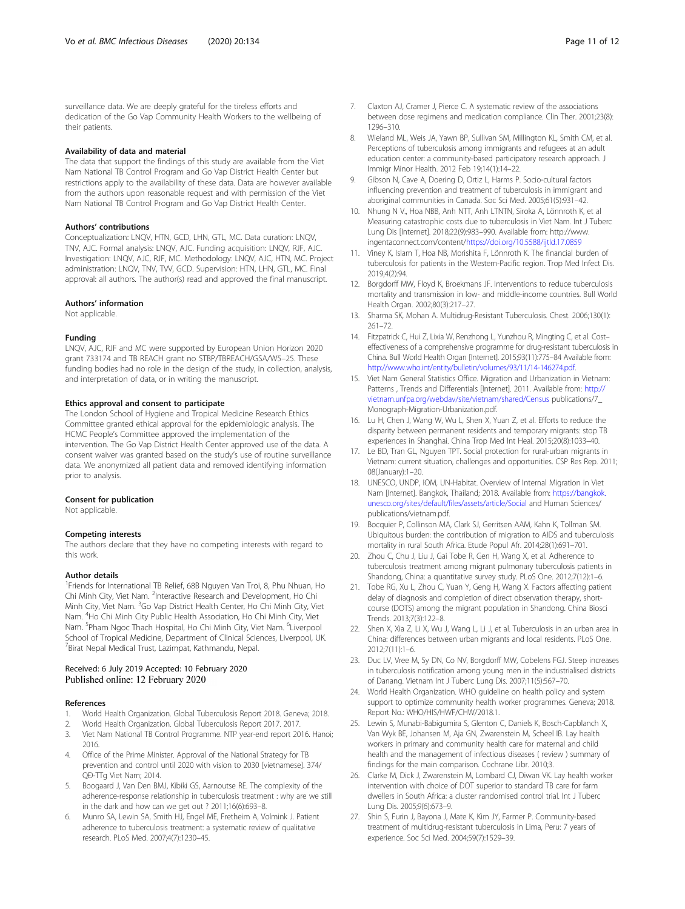<span id="page-10-0"></span>surveillance data. We are deeply grateful for the tireless efforts and dedication of the Go Vap Community Health Workers to the wellbeing of their patients.

#### Availability of data and material

The data that support the findings of this study are available from the Viet Nam National TB Control Program and Go Vap District Health Center but restrictions apply to the availability of these data. Data are however available from the authors upon reasonable request and with permission of the Viet Nam National TB Control Program and Go Vap District Health Center.

#### Authors' contributions

Conceptualization: LNQV, HTN, GCD, LHN, GTL, MC. Data curation: LNQV, TNV, AJC. Formal analysis: LNQV, AJC. Funding acquisition: LNQV, RJF, AJC. Investigation: LNQV, AJC, RJF, MC. Methodology: LNQV, AJC, HTN, MC. Project administration: LNQV, TNV, TVV, GCD. Supervision: HTN, LHN, GTL, MC. Final approval: all authors. The author(s) read and approved the final manuscript.

#### Authors' information

Not applicable.

#### Funding

LNQV, AJC, RJF and MC were supported by European Union Horizon 2020 grant 733174 and TB REACH grant no STBP/TBREACH/GSA/W5–25. These funding bodies had no role in the design of the study, in collection, analysis, and interpretation of data, or in writing the manuscript.

#### Ethics approval and consent to participate

The London School of Hygiene and Tropical Medicine Research Ethics Committee granted ethical approval for the epidemiologic analysis. The HCMC People's Committee approved the implementation of the intervention. The Go Vap District Health Center approved use of the data. A consent waiver was granted based on the study's use of routine surveillance data. We anonymized all patient data and removed identifying information prior to analysis.

#### Consent for publication

Not applicable.

#### Competing interests

The authors declare that they have no competing interests with regard to this work.

#### Author details

<sup>1</sup>Friends for International TB Relief, 68B Nguyen Van Troi, 8, Phu Nhuan, Ho Chi Minh City, Viet Nam. <sup>2</sup>Interactive Research and Development, Ho Chi Minh City, Viet Nam. <sup>3</sup>Go Vap District Health Center, Ho Chi Minh City, Viet Nam. <sup>4</sup>Ho Chi Minh City Public Health Association, Ho Chi Minh City, Viet Nam. <sup>5</sup>Pham Ngoc Thach Hospital, Ho Chi Minh City, Viet Nam. <sup>6</sup>Liverpool School of Tropical Medicine, Department of Clinical Sciences, Liverpool, UK. <sup>7</sup> Birat Nepal Medical Trust, Lazimpat, Kathmandu, Nepal.

#### Received: 6 July 2019 Accepted: 10 February 2020 Published online: 12 February 2020

#### References

- 1. World Health Organization. Global Tuberculosis Report 2018. Geneva; 2018.
- 2. World Health Organization. Global Tuberculosis Report 2017. 2017.
- 3. Viet Nam National TB Control Programme. NTP year-end report 2016. Hanoi; 2016.
- 4. Office of the Prime Minister. Approval of the National Strategy for TB prevention and control until 2020 with vision to 2030 [vietnamese]. 374/ QĐ-TTg Viet Nam; 2014.
- 5. Boogaard J, Van Den BMJ, Kibiki GS, Aarnoutse RE. The complexity of the adherence-response relationship in tuberculosis treatment : why are we still in the dark and how can we get out ? 2011;16(6):693–8.
- 6. Munro SA, Lewin SA, Smith HJ, Engel ME, Fretheim A, Volmink J. Patient adherence to tuberculosis treatment: a systematic review of qualitative research. PLoS Med. 2007;4(7):1230–45.
- 7. Claxton AJ, Cramer J, Pierce C. A systematic review of the associations between dose regimens and medication compliance. Clin Ther. 2001;23(8): 1296–310.
- 8. Wieland ML, Weis JA, Yawn BP, Sullivan SM, Millington KL, Smith CM, et al. Perceptions of tuberculosis among immigrants and refugees at an adult education center: a community-based participatory research approach. J Immigr Minor Health. 2012 Feb 19;14(1):14–22.
- 9. Gibson N, Cave A, Doering D, Ortiz L, Harms P. Socio-cultural factors influencing prevention and treatment of tuberculosis in immigrant and aboriginal communities in Canada. Soc Sci Med. 2005;61(5):931–42.
- 10. Nhung N V., Hoa NBB, Anh NTT, Anh LTNTN, Siroka A, Lönnroth K, et al Measuring catastrophic costs due to tuberculosis in Viet Nam. Int J Tuberc Lung Dis [Internet]. 2018;22(9):983–990. Available from: http://www. ingentaconnect.com/content[/https://doi.org/10.5588/ijtld.17.0859](https://doi.org/10.5588/ijtld.17.0859)
- 11. Viney K, Islam T, Hoa NB, Morishita F, Lönnroth K. The financial burden of tuberculosis for patients in the Western-Pacific region. Trop Med Infect Dis. 2019;4(2):94.
- 12. Borgdorff MW, Floyd K, Broekmans JF. Interventions to reduce tuberculosis mortality and transmission in low- and middle-income countries. Bull World Health Organ. 2002;80(3):217–27.
- 13. Sharma SK, Mohan A. Multidrug-Resistant Tuberculosis. Chest. 2006;130(1): 261–72.
- 14. Fitzpatrick C, Hui Z, Lixia W, Renzhong L, Yunzhou R, Mingting C, et al. Cost– effectiveness of a comprehensive programme for drug-resistant tuberculosis in China. Bull World Health Organ [Internet]. 2015;93(11):775–84 Available from: [http://www.who.int/entity/bulletin/volumes/93/11/14-146274.pdf.](http://www.who.int/entity/bulletin/volumes/93/11/14-146274.pdf)
- 15. Viet Nam General Statistics Office. Migration and Urbanization in Vietnam: Patterns , Trends and Differentials [Internet]. 2011. Available from: [http://](http://vietnam.unfpa.org/webdav/site/vietnam/shared/Census) [vietnam.unfpa.org/webdav/site/vietnam/shared/Census](http://vietnam.unfpa.org/webdav/site/vietnam/shared/Census) publications/7\_ Monograph-Migration-Urbanization.pdf.
- 16. Lu H, Chen J, Wang W, Wu L, Shen X, Yuan Z, et al. Efforts to reduce the disparity between permanent residents and temporary migrants: stop TB experiences in Shanghai. China Trop Med Int Heal. 2015;20(8):1033–40.
- 17. Le BD, Tran GL, Nguyen TPT. Social protection for rural-urban migrants in Vietnam: current situation, challenges and opportunities. CSP Res Rep. 2011; 08(January):1–20.
- 18. UNESCO, UNDP, IOM, UN-Habitat. Overview of Internal Migration in Viet Nam [Internet]. Bangkok, Thailand; 2018. Available from: [https://bangkok.](https://bangkok.unesco.org/sites/default/files/assets/article/Social) [unesco.org/sites/default/files/assets/article/Social](https://bangkok.unesco.org/sites/default/files/assets/article/Social) and Human Sciences/ publications/vietnam.pdf.
- 19. Bocquier P, Collinson MA, Clark SJ, Gerritsen AAM, Kahn K, Tollman SM. Ubiquitous burden: the contribution of migration to AIDS and tuberculosis mortality in rural South Africa. Etude Popul Afr. 2014;28(1):691–701.
- 20. Zhou C, Chu J, Liu J, Gai Tobe R, Gen H, Wang X, et al. Adherence to tuberculosis treatment among migrant pulmonary tuberculosis patients in Shandong, China: a quantitative survey study. PLoS One. 2012;7(12):1–6.
- 21. Tobe RG, Xu L, Zhou C, Yuan Y, Geng H, Wang X. Factors affecting patient delay of diagnosis and completion of direct observation therapy, shortcourse (DOTS) among the migrant population in Shandong. China Biosci Trends. 2013;7(3):122–8.
- 22. Shen X, Xia Z, Li X, Wu J, Wang L, Li J, et al. Tuberculosis in an urban area in China: differences between urban migrants and local residents. PLoS One. 2012;7(11):1–6.
- 23. Duc LV, Vree M, Sy DN, Co NV, Borgdorff MW, Cobelens FGJ. Steep increases in tuberculosis notification among young men in the industrialised districts of Danang. Vietnam Int J Tuberc Lung Dis. 2007;11(5):567–70.
- 24. World Health Organization. WHO guideline on health policy and system support to optimize community health worker programmes. Geneva; 2018. Report No.: WHO/HIS/HWF/CHW/2018.1.
- 25. Lewin S, Munabi-Babigumira S, Glenton C, Daniels K, Bosch-Capblanch X, Van Wyk BE, Johansen M, Aja GN, Zwarenstein M, Scheel IB. Lay health workers in primary and community health care for maternal and child health and the management of infectious diseases ( review ) summary of findings for the main comparison. Cochrane Libr. 2010;3.
- 26. Clarke M, Dick J, Zwarenstein M, Lombard CJ, Diwan VK. Lay health worker intervention with choice of DOT superior to standard TB care for farm dwellers in South Africa: a cluster randomised control trial. Int J Tuberc Lung Dis. 2005;9(6):673–9.
- 27. Shin S, Furin J, Bayona J, Mate K, Kim JY, Farmer P. Community-based treatment of multidrug-resistant tuberculosis in Lima, Peru: 7 years of experience. Soc Sci Med. 2004;59(7):1529–39.